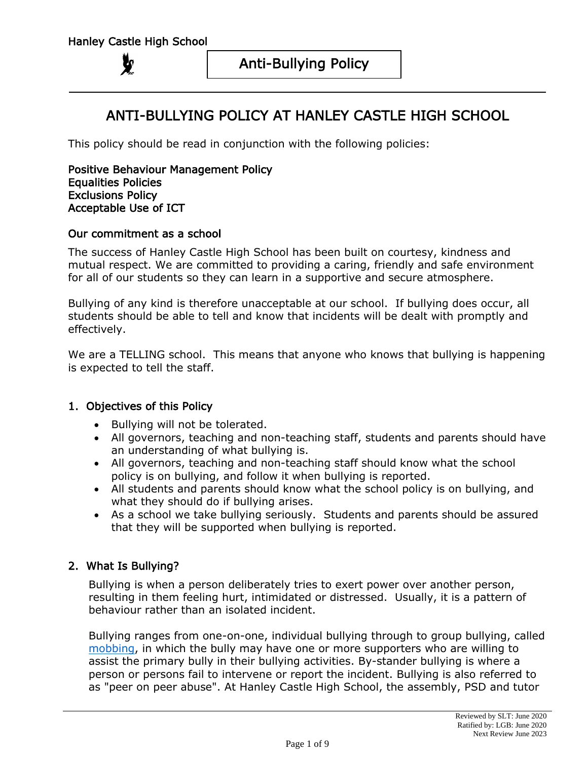# ANTI-BULLYING POLICY AT HANLEY CASTLE HIGH SCHOOL

This policy should be read in conjunction with the following policies:

Positive Behaviour Management Policy Equalities Policies Exclusions Policy Acceptable Use of ICT

#### Our commitment as a school

The success of Hanley Castle High School has been built on courtesy, kindness and mutual respect. We are committed to providing a caring, friendly and safe environment for all of our students so they can learn in a supportive and secure atmosphere.

Bullying of any kind is therefore unacceptable at our school. If bullying does occur, all students should be able to tell and know that incidents will be dealt with promptly and effectively.

We are a TELLING school. This means that anyone who knows that bullying is happening is expected to tell the staff.

### 1. Objectives of this Policy

- Bullying will not be tolerated.
- All governors, teaching and non-teaching staff, students and parents should have an understanding of what bullying is.
- All governors, teaching and non-teaching staff should know what the school policy is on bullying, and follow it when bullying is reported.
- All students and parents should know what the school policy is on bullying, and what they should do if bullying arises.
- As a school we take bullying seriously. Students and parents should be assured that they will be supported when bullying is reported.

### 2. What Is Bullying?

Bullying is when a person deliberately tries to exert power over another person, resulting in them feeling hurt, intimidated or distressed. Usually, it is a pattern of behaviour rather than an isolated incident.

Bullying ranges from one-on-one, individual bullying through to group bullying, called [mobbing,](https://en.wikipedia.org/wiki/Mobbing) in which the bully may have one or more supporters who are willing to assist the primary bully in their bullying activities. By-stander bullying is where a person or persons fail to intervene or report the incident. Bullying is also referred to as "peer on peer abuse". At Hanley Castle High School, the assembly, PSD and tutor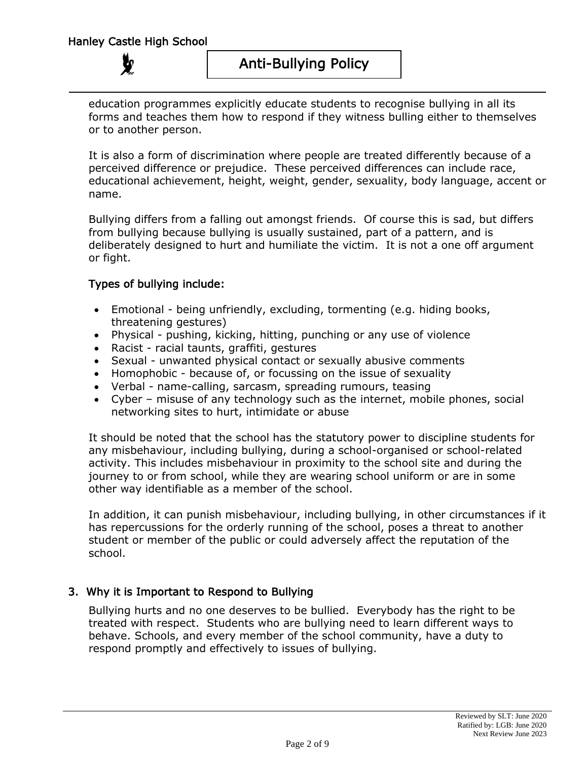education programmes explicitly educate students to recognise bullying in all its forms and teaches them how to respond if they witness bulling either to themselves or to another person.

It is also a form of discrimination where people are treated differently because of a perceived difference or prejudice. These perceived differences can include race, educational achievement, height, weight, gender, sexuality, body language, accent or name.

Bullying differs from a falling out amongst friends. Of course this is sad, but differs from bullying because bullying is usually sustained, part of a pattern, and is deliberately designed to hurt and humiliate the victim. It is not a one off argument or fight.

# Types of bullying include:

- Emotional being unfriendly, excluding, tormenting (e.g. hiding books, threatening gestures)
- Physical pushing, kicking, hitting, punching or any use of violence
- Racist racial taunts, graffiti, gestures
- Sexual unwanted physical contact or sexually abusive comments
- Homophobic because of, or focussing on the issue of sexuality
- Verbal name-calling, sarcasm, spreading rumours, teasing
- Cyber misuse of any technology such as the internet, mobile phones, social networking sites to hurt, intimidate or abuse

It should be noted that the school has the statutory power to discipline students for any misbehaviour, including bullying, during a school-organised or school-related activity. This includes misbehaviour in proximity to the school site and during the journey to or from school, while they are wearing school uniform or are in some other way identifiable as a member of the school.

In addition, it can punish misbehaviour, including bullying, in other circumstances if it has repercussions for the orderly running of the school, poses a threat to another student or member of the public or could adversely affect the reputation of the school.

# 3. Why it is Important to Respond to Bullying

Bullying hurts and no one deserves to be bullied. Everybody has the right to be treated with respect. Students who are bullying need to learn different ways to behave. Schools, and every member of the school community, have a duty to respond promptly and effectively to issues of bullying.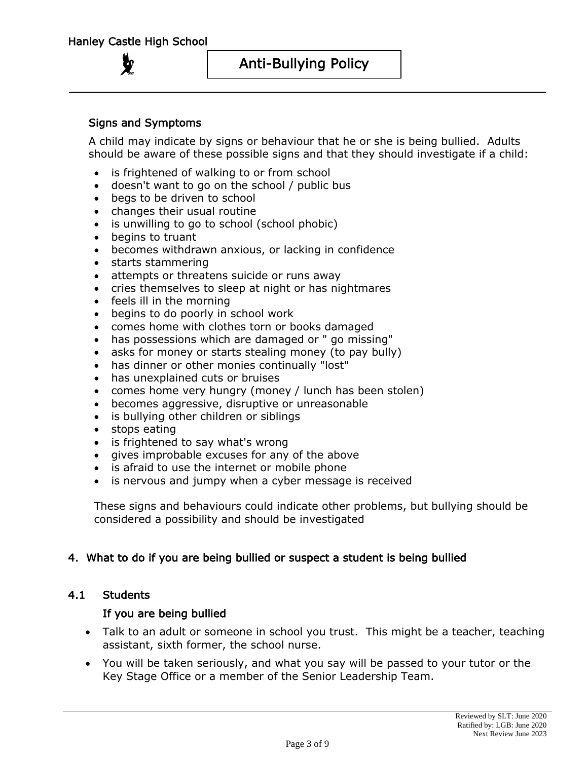Anti-Bullying Policy

### Signs and Symptoms

A child may indicate by signs or behaviour that he or she is being bullied. Adults should be aware of these possible signs and that they should investigate if a child:

- is frightened of walking to or from school
- doesn't want to go on the school / public bus
- begs to be driven to school
- changes their usual routine
- is unwilling to go to school (school phobic)
- begins to truant
- becomes withdrawn anxious, or lacking in confidence
- starts stammering
- attempts or threatens suicide or runs away
- cries themselves to sleep at night or has nightmares
- feels ill in the morning
- begins to do poorly in school work
- comes home with clothes torn or books damaged
- has possessions which are damaged or " go missing"
- asks for money or starts stealing money (to pay bully)
- has dinner or other monies continually "lost"
- has unexplained cuts or bruises
- comes home very hungry (money / lunch has been stolen)
- becomes aggressive, disruptive or unreasonable
- is bullying other children or siblings
- stops eating
- is frightened to say what's wrong
- gives improbable excuses for any of the above
- is afraid to use the internet or mobile phone
- is nervous and jumpy when a cyber message is received

These signs and behaviours could indicate other problems, but bullying should be considered a possibility and should be investigated

#### 4. What to do if you are being bullied or suspect a student is being bullied

#### 4.1 Students

#### If you are being bullied

- Talk to an adult or someone in school you trust. This might be a teacher, teaching assistant, sixth former, the school nurse.
- You will be taken seriously, and what you say will be passed to your tutor or the Key Stage Office or a member of the Senior Leadership Team.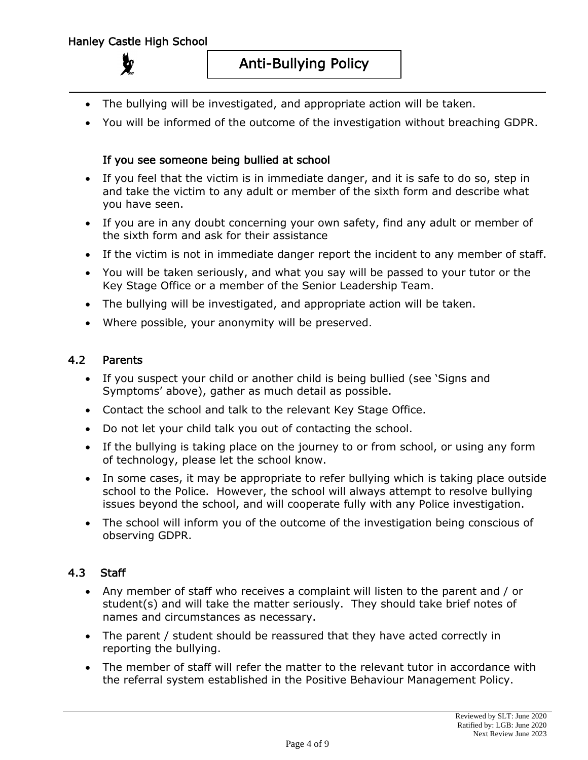- The bullying will be investigated, and appropriate action will be taken.
- You will be informed of the outcome of the investigation without breaching GDPR.

## If you see someone being bullied at school

- If you feel that the victim is in immediate danger, and it is safe to do so, step in and take the victim to any adult or member of the sixth form and describe what you have seen.
- If you are in any doubt concerning your own safety, find any adult or member of the sixth form and ask for their assistance
- If the victim is not in immediate danger report the incident to any member of staff.
- You will be taken seriously, and what you say will be passed to your tutor or the Key Stage Office or a member of the Senior Leadership Team.
- The bullying will be investigated, and appropriate action will be taken.
- Where possible, your anonymity will be preserved.

#### 4.2 Parents

- If you suspect your child or another child is being bullied (see 'Signs and Symptoms' above), gather as much detail as possible.
- Contact the school and talk to the relevant Key Stage Office.
- Do not let your child talk you out of contacting the school.
- If the bullying is taking place on the journey to or from school, or using any form of technology, please let the school know.
- In some cases, it may be appropriate to refer bullying which is taking place outside school to the Police. However, the school will always attempt to resolve bullying issues beyond the school, and will cooperate fully with any Police investigation.
- The school will inform you of the outcome of the investigation being conscious of observing GDPR.

# 4.3 Staff

- Any member of staff who receives a complaint will listen to the parent and / or student(s) and will take the matter seriously. They should take brief notes of names and circumstances as necessary.
- The parent / student should be reassured that they have acted correctly in reporting the bullying.
- The member of staff will refer the matter to the relevant tutor in accordance with the referral system established in the Positive Behaviour Management Policy.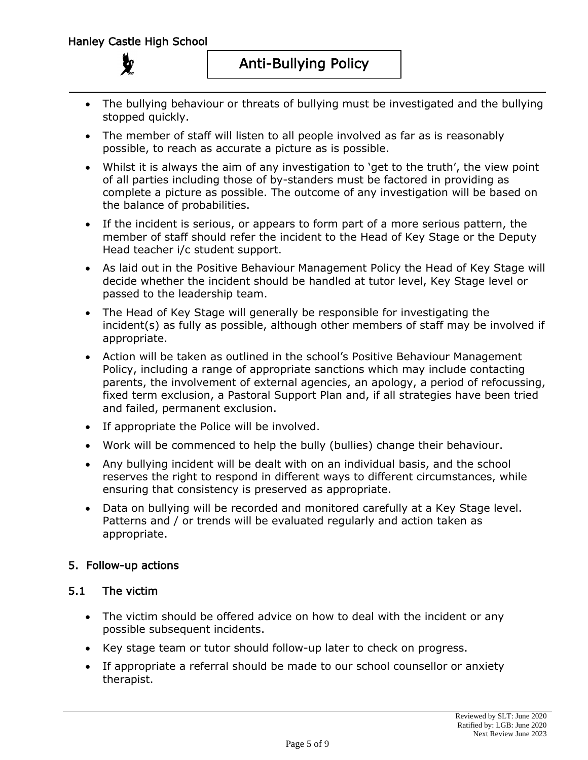- The bullying behaviour or threats of bullying must be investigated and the bullying stopped quickly.
- The member of staff will listen to all people involved as far as is reasonably possible, to reach as accurate a picture as is possible.
- Whilst it is always the aim of any investigation to 'get to the truth', the view point of all parties including those of by-standers must be factored in providing as complete a picture as possible. The outcome of any investigation will be based on the balance of probabilities.
- If the incident is serious, or appears to form part of a more serious pattern, the member of staff should refer the incident to the Head of Key Stage or the Deputy Head teacher i/c student support.
- As laid out in the Positive Behaviour Management Policy the Head of Key Stage will decide whether the incident should be handled at tutor level, Key Stage level or passed to the leadership team.
- The Head of Key Stage will generally be responsible for investigating the incident(s) as fully as possible, although other members of staff may be involved if appropriate.
- Action will be taken as outlined in the school's Positive Behaviour Management Policy, including a range of appropriate sanctions which may include contacting parents, the involvement of external agencies, an apology, a period of refocussing, fixed term exclusion, a Pastoral Support Plan and, if all strategies have been tried and failed, permanent exclusion.
- If appropriate the Police will be involved.
- Work will be commenced to help the bully (bullies) change their behaviour.
- Any bullying incident will be dealt with on an individual basis, and the school reserves the right to respond in different ways to different circumstances, while ensuring that consistency is preserved as appropriate.
- Data on bullying will be recorded and monitored carefully at a Key Stage level. Patterns and / or trends will be evaluated regularly and action taken as appropriate.

# 5. Follow-up actions

### 5.1 The victim

- The victim should be offered advice on how to deal with the incident or any possible subsequent incidents.
- Key stage team or tutor should follow-up later to check on progress.
- If appropriate a referral should be made to our school counsellor or anxiety therapist.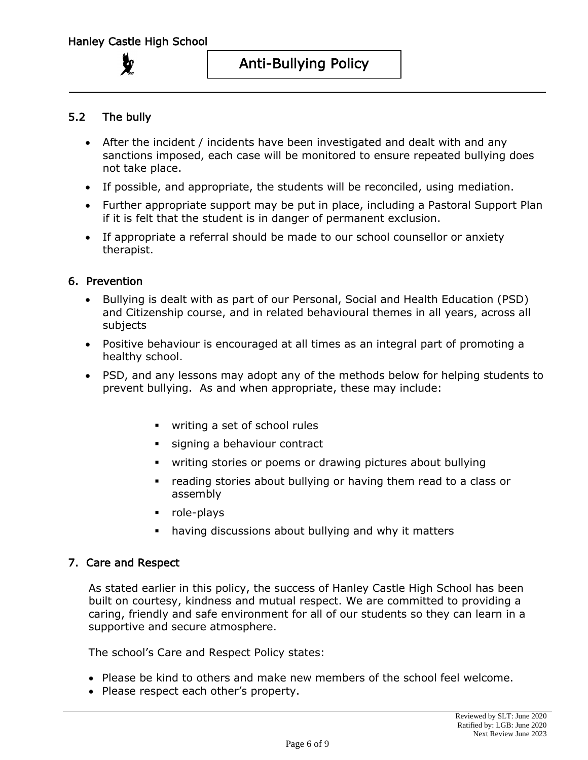Anti-Bullying Policy

## 5.2 The bully

- After the incident / incidents have been investigated and dealt with and any sanctions imposed, each case will be monitored to ensure repeated bullying does not take place.
- If possible, and appropriate, the students will be reconciled, using mediation.
- Further appropriate support may be put in place, including a Pastoral Support Plan if it is felt that the student is in danger of permanent exclusion.
- If appropriate a referral should be made to our school counsellor or anxiety therapist.

#### 6. Prevention

- Bullying is dealt with as part of our Personal, Social and Health Education (PSD) and Citizenship course, and in related behavioural themes in all years, across all subjects
- Positive behaviour is encouraged at all times as an integral part of promoting a healthy school.
- PSD, and any lessons may adopt any of the methods below for helping students to prevent bullying. As and when appropriate, these may include:
	- writing a set of school rules
	- **Example 3** signing a behaviour contract
	- writing stories or poems or drawing pictures about bullying
	- reading stories about bullying or having them read to a class or assembly
	- role-plays
	- having discussions about bullying and why it matters

#### 7. Care and Respect

As stated earlier in this policy, the success of Hanley Castle High School has been built on courtesy, kindness and mutual respect. We are committed to providing a caring, friendly and safe environment for all of our students so they can learn in a supportive and secure atmosphere.

The school's Care and Respect Policy states:

- Please be kind to others and make new members of the school feel welcome.
- Please respect each other's property.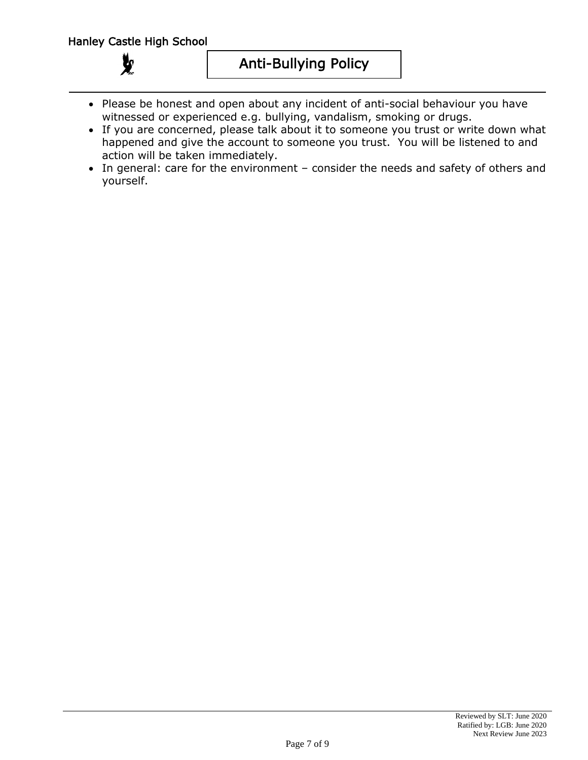$\chi$ 

Anti-Bullying Policy

- Please be honest and open about any incident of anti-social behaviour you have witnessed or experienced e.g. bullying, vandalism, smoking or drugs.
- If you are concerned, please talk about it to someone you trust or write down what happened and give the account to someone you trust. You will be listened to and action will be taken immediately.
- In general: care for the environment consider the needs and safety of others and yourself.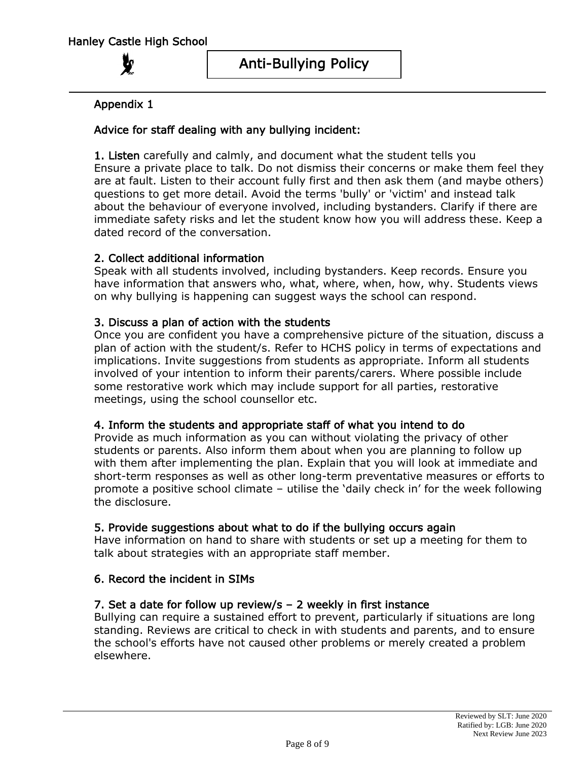# Appendix 1

# Advice for staff dealing with any bullying incident:

1. Listen carefully and calmly, and document what the student tells you Ensure a private place to talk. Do not dismiss their concerns or make them feel they are at fault. Listen to their account fully first and then ask them (and maybe others) questions to get more detail. Avoid the terms 'bully' or 'victim' and instead talk about the behaviour of everyone involved, including bystanders. Clarify if there are immediate safety risks and let the student know how you will address these. Keep a dated record of the conversation.

# 2. Collect additional information

Speak with all students involved, including bystanders. Keep records. Ensure you have information that answers who, what, where, when, how, why. Students views on why bullying is happening can suggest ways the school can respond.

# 3. Discuss a plan of action with the students

Once you are confident you have a comprehensive picture of the situation, discuss a plan of action with the student/s. Refer to HCHS policy in terms of expectations and implications. Invite suggestions from students as appropriate. Inform all students involved of your intention to inform their parents/carers. Where possible include some restorative work which may include support for all parties, restorative meetings, using the school counsellor etc.

### 4. Inform the students and appropriate staff of what you intend to do

Provide as much information as you can without violating the privacy of other students or parents. Also inform them about when you are planning to follow up with them after implementing the plan. Explain that you will look at immediate and short-term responses as well as other long-term preventative measures or efforts to promote a positive school climate – utilise the 'daily check in' for the week following the disclosure.

### 5. Provide suggestions about what to do if the bullying occurs again

Have information on hand to share with students or set up a meeting for them to talk about strategies with an appropriate staff member.

# 6. Record the incident in SIMs

### 7. Set a date for follow up review/s – 2 weekly in first instance

Bullying can require a sustained effort to prevent, particularly if situations are long standing. Reviews are critical to check in with students and parents, and to ensure the school's efforts have not caused other problems or merely created a problem elsewhere.